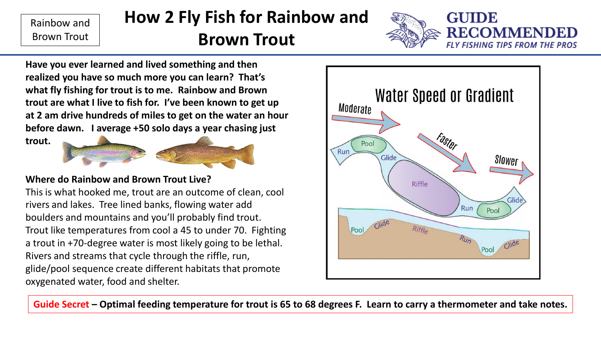# **How 2 Fly Fish for Rainbow and**

### **Brown Trout**



**Have you ever learned and lived something and then realized you have so much more you can learn? That's what fly fishing for trout is to me. Rainbow and Brown trout are what I live to fish for. I've been known to get up at 2 am drive hundreds of miles to get on the water an hour before dawn. I average +50 solo days a year chasing just** 

**trout.** 



#### **Where do Rainbow and Brown Trout Live?**

This is what hooked me, trout are an outcome of clean, cool rivers and lakes. Tree lined banks, flowing water add boulders and mountains and you'll probably find trout. Trout like temperatures from cool a 45 to under 70. Fighting a trout in +70-degree water is most likely going to be lethal. Rivers and streams that cycle through the riffle, run, glide/pool sequence create different habitats that promote oxygenated water, food and shelter.



**Guide Secret – Optimal feeding temperature for trout is 65 to 68 degrees F. Learn to carry a thermometer and take notes.**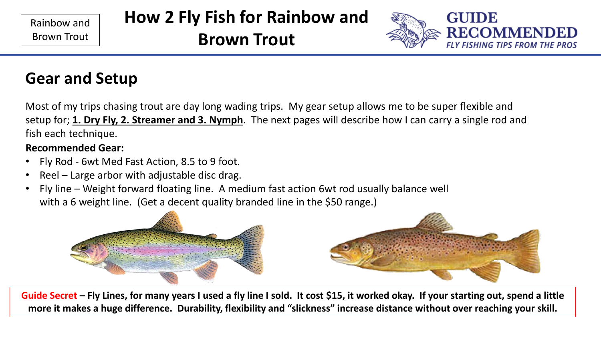## **How 2 Fly Fish for Rainbow and**

**Brown Trout**



# **Gear and Setup**

Most of my trips chasing trout are day long wading trips. My gear setup allows me to be super flexible and setup for; **1. Dry Fly, 2. Streamer and 3. Nymph**. The next pages will describe how I can carry a single rod and fish each technique.

#### **Recommended Gear:**

- Fly Rod 6wt Med Fast Action, 8.5 to 9 foot.
- Reel Large arbor with adjustable disc drag.
- Fly line Weight forward floating line. A medium fast action 6wt rod usually balance well with a 6 weight line. (Get a decent quality branded line in the \$50 range.)



**Guide Secret – Fly Lines, for many years I used a fly line I sold. It cost \$15, it worked okay. If your starting out, spend a little more it makes a huge difference. Durability, flexibility and "slickness" increase distance without over reaching your skill.**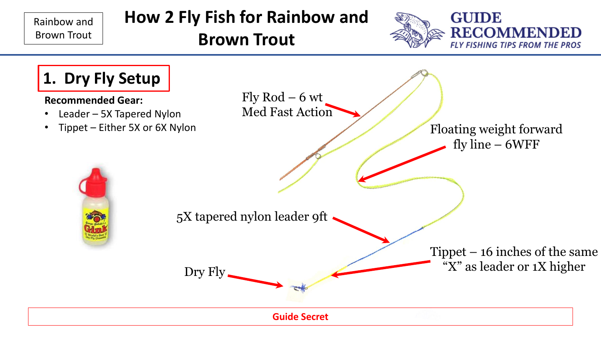## **How 2 Fly Fish for Rainbow and**

**Brown Trout**





#### **Recommended Gear:**

- Leader 5X Tapered Nylon
- Tippet Either 5X or 6X Nylon

Fly  $Rod - 6$  wt Med Fast Action

> Floating weight forward fly line – 6WFF

5X tapered nylon leader 9ft

Dry Fly

Tippet – 16 inches of the same "X" as leader or 1X higher

**Guide Secret**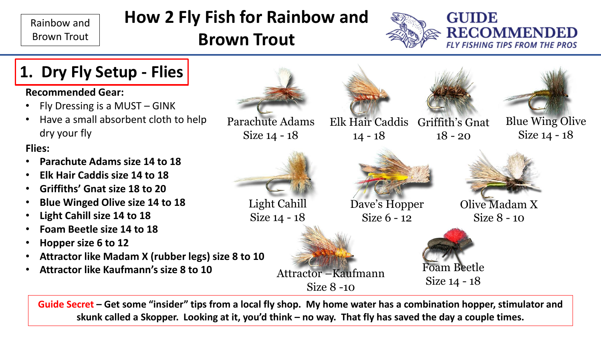**Flies:**

# **How 2 Fly Fish for Rainbow and**

# **Brown Trout**





**Guide Secret – Get some "insider" tips from a local fly shop. My home water has a combination hopper, stimulator and skunk called a Skopper. Looking at it, you'd think – no way. That fly has saved the day a couple times.**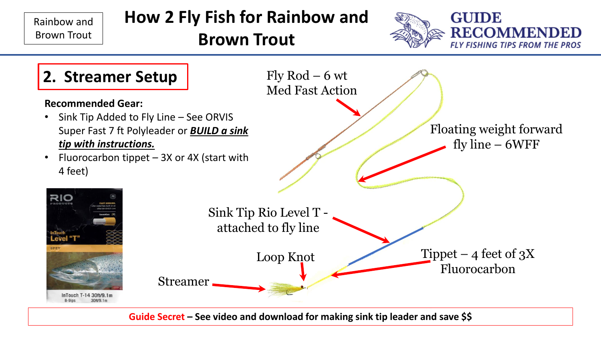

**Guide Secret – See video and download for making sink tip leader and save \$\$**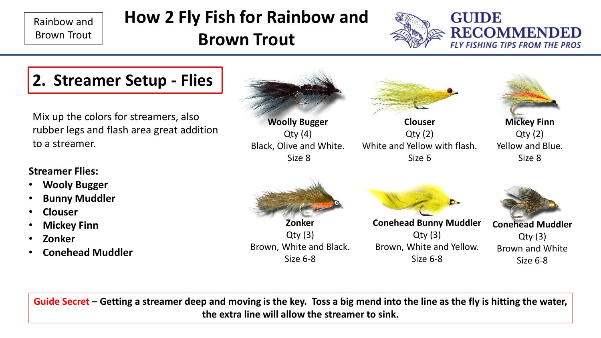# **How 2 Fly Fish for Rainbow and**

**Brown Trout**



## **2. Streamer Setup - Flies**

Mix up the colors for streamers, also rubber legs and flash area great addition to a streamer.

#### **Streamer Flies:**

- **Wooly Bugger**
- **Bunny Muddler**
- **Clouser**
- **Mickey Finn**
- **Zonker**
- **Conehead Muddler**



**Guide Secret – Getting a streamer deep and moving is the key. Toss a big mend into the line as the fly is hitting the water, the extra line will allow the streamer to sink.**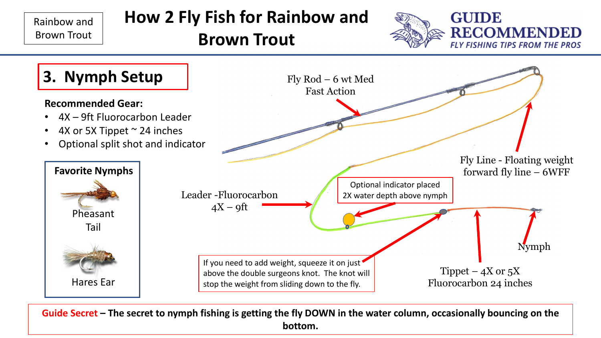

**Guide Secret – The secret to nymph fishing is getting the fly DOWN in the water column, occasionally bouncing on the bottom.**